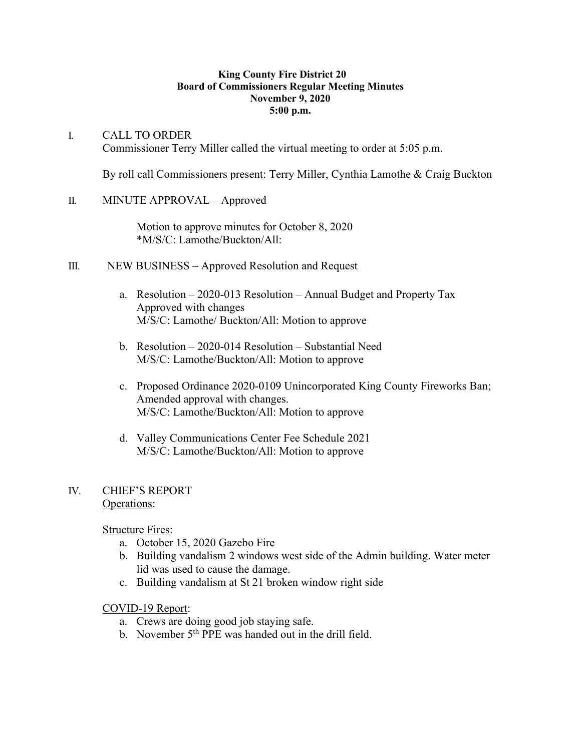#### **King County Fire District 20 Board of Commissioners Regular Meeting Minutes November 9, 2020 5:00 p.m.**

## I. CALL TO ORDER Commissioner Terry Miller called the virtual meeting to order at 5:05 p.m.

By roll call Commissioners present: Terry Miller, Cynthia Lamothe & Craig Buckton

# II. MINUTE APPROVAL – Approved

Motion to approve minutes for October 8, 2020 \*M/S/C: Lamothe/Buckton/All:

- III. NEW BUSINESS Approved Resolution and Request
	- a. Resolution 2020-013 Resolution Annual Budget and Property Tax Approved with changes M/S/C: Lamothe/ Buckton/All: Motion to approve
	- b. Resolution 2020-014 Resolution Substantial Need M/S/C: Lamothe/Buckton/All: Motion to approve
	- c. Proposed Ordinance 2020-0109 Unincorporated King County Fireworks Ban; Amended approval with changes. M/S/C: Lamothe/Buckton/All: Motion to approve
	- d. Valley Communications Center Fee Schedule 2021 M/S/C: Lamothe/Buckton/All: Motion to approve

## IV. CHIEF'S REPORT Operations:

Structure Fires:

- a. October 15, 2020 Gazebo Fire
- b. Building vandalism 2 windows west side of the Admin building. Water meter lid was used to cause the damage.
- c. Building vandalism at St 21 broken window right side

# COVID-19 Report:

- a. Crews are doing good job staying safe.
- b. November  $5<sup>th</sup>$  PPE was handed out in the drill field.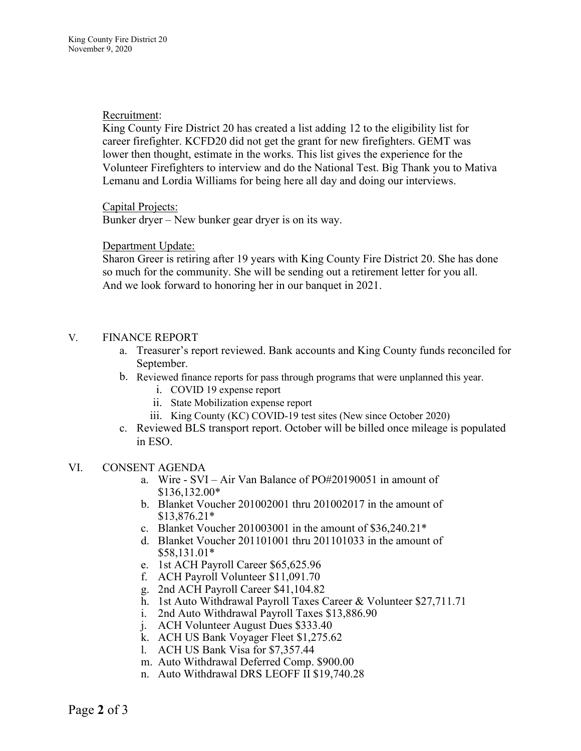## Recruitment:

King County Fire District 20 has created a list adding 12 to the eligibility list for career firefighter. KCFD20 did not get the grant for new firefighters. GEMT was lower then thought, estimate in the works. This list gives the experience for the Volunteer Firefighters to interview and do the National Test. Big Thank you to Mativa Lemanu and Lordia Williams for being here all day and doing our interviews.

### Capital Projects:

Bunker dryer – New bunker gear dryer is on its way.

## Department Update:

Sharon Greer is retiring after 19 years with King County Fire District 20. She has done so much for the community. She will be sending out a retirement letter for you all. And we look forward to honoring her in our banquet in 2021.

## V. FINANCE REPORT

- a. Treasurer's report reviewed. Bank accounts and King County funds reconciled for September.
- b. Reviewed finance reports for pass through programs that were unplanned this year.
	- i. COVID 19 expense report
	- ii. State Mobilization expense report
	- iii. King County (KC) COVID-19 test sites (New since October 2020)
- c. Reviewed BLS transport report. October will be billed once mileage is populated in ESO.

## VI. CONSENT AGENDA

- a. Wire SVI Air Van Balance of PO#20190051 in amount of \$136,132.00\*
- b. Blanket Voucher 201002001 thru 201002017 in the amount of \$13,876.21\*
- c. Blanket Voucher 201003001 in the amount of \$36,240.21\*
- d. Blanket Voucher 201101001 thru 201101033 in the amount of \$58,131.01\*
- e. 1st ACH Payroll Career \$65,625.96
- f. ACH Payroll Volunteer \$11,091.70
- g. 2nd ACH Payroll Career \$41,104.82
- h. 1st Auto Withdrawal Payroll Taxes Career & Volunteer \$27,711.71
- i. 2nd Auto Withdrawal Payroll Taxes \$13,886.90
- j. ACH Volunteer August Dues \$333.40
- k. ACH US Bank Voyager Fleet \$1,275.62
- l. ACH US Bank Visa for \$7,357.44
- m. Auto Withdrawal Deferred Comp. \$900.00
- n. Auto Withdrawal DRS LEOFF II \$19,740.28